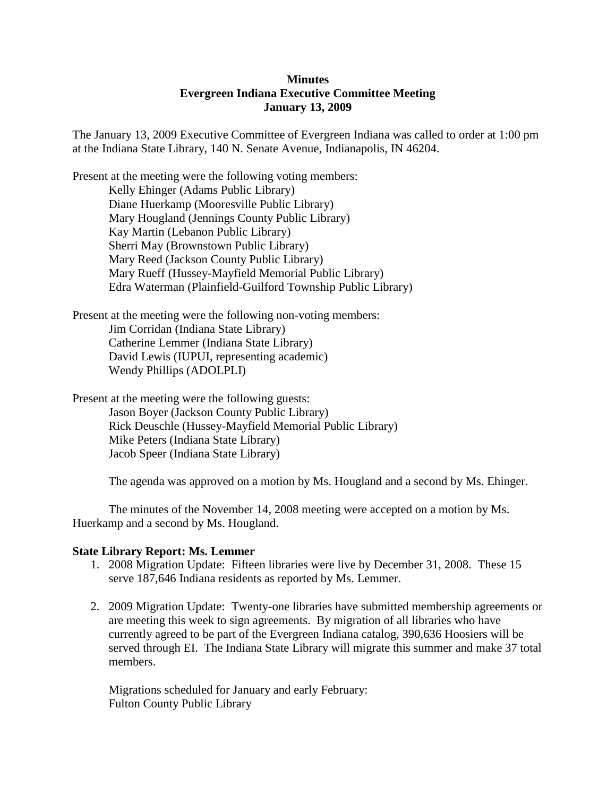# **Minutes Evergreen Indiana Executive Committee Meeting January 13, 2009**

The January 13, 2009 Executive Committee of Evergreen Indiana was called to order at 1:00 pm at the Indiana State Library, 140 N. Senate Avenue, Indianapolis, IN 46204.

Present at the meeting were the following voting members: Kelly Ehinger (Adams Public Library) Diane Huerkamp (Mooresville Public Library) Mary Hougland (Jennings County Public Library) Kay Martin (Lebanon Public Library) Sherri May (Brownstown Public Library) Mary Reed (Jackson County Public Library) Mary Rueff (Hussey-Mayfield Memorial Public Library) Edra Waterman (Plainfield-Guilford Township Public Library)

Present at the meeting were the following non-voting members: Jim Corridan (Indiana State Library) Catherine Lemmer (Indiana State Library) David Lewis (IUPUI, representing academic) Wendy Phillips (ADOLPLI)

Present at the meeting were the following guests: Jason Boyer (Jackson County Public Library) Rick Deuschle (Hussey-Mayfield Memorial Public Library) Mike Peters (Indiana State Library) Jacob Speer (Indiana State Library)

The agenda was approved on a motion by Ms. Hougland and a second by Ms. Ehinger.

The minutes of the November 14, 2008 meeting were accepted on a motion by Ms. Huerkamp and a second by Ms. Hougland.

### **State Library Report: Ms. Lemmer**

- 1. 2008 Migration Update: Fifteen libraries were live by December 31, 2008. These 15 serve 187,646 Indiana residents as reported by Ms. Lemmer.
- 2. 2009 Migration Update: Twenty-one libraries have submitted membership agreements or are meeting this week to sign agreements. By migration of all libraries who have currently agreed to be part of the Evergreen Indiana catalog, 390,636 Hoosiers will be served through EI. The Indiana State Library will migrate this summer and make 37 total members.

Migrations scheduled for January and early February: Fulton County Public Library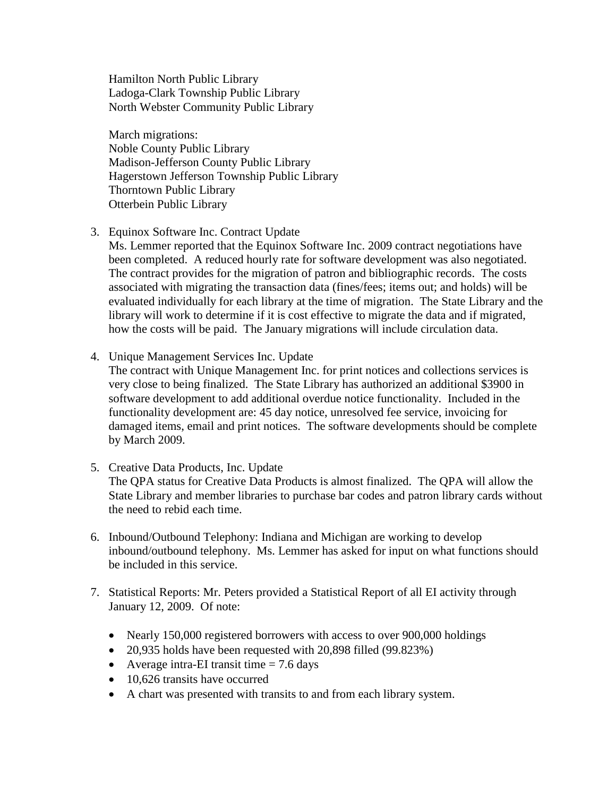Hamilton North Public Library Ladoga-Clark Township Public Library North Webster Community Public Library

March migrations: Noble County Public Library Madison-Jefferson County Public Library Hagerstown Jefferson Township Public Library Thorntown Public Library Otterbein Public Library

3. Equinox Software Inc. Contract Update

Ms. Lemmer reported that the Equinox Software Inc. 2009 contract negotiations have been completed. A reduced hourly rate for software development was also negotiated. The contract provides for the migration of patron and bibliographic records. The costs associated with migrating the transaction data (fines/fees; items out; and holds) will be evaluated individually for each library at the time of migration. The State Library and the library will work to determine if it is cost effective to migrate the data and if migrated, how the costs will be paid. The January migrations will include circulation data.

4. Unique Management Services Inc. Update

The contract with Unique Management Inc. for print notices and collections services is very close to being finalized. The State Library has authorized an additional \$3900 in software development to add additional overdue notice functionality. Included in the functionality development are: 45 day notice, unresolved fee service, invoicing for damaged items, email and print notices. The software developments should be complete by March 2009.

- 5. Creative Data Products, Inc. Update The QPA status for Creative Data Products is almost finalized. The QPA will allow the State Library and member libraries to purchase bar codes and patron library cards without the need to rebid each time.
- 6. Inbound/Outbound Telephony: Indiana and Michigan are working to develop inbound/outbound telephony. Ms. Lemmer has asked for input on what functions should be included in this service.
- 7. Statistical Reports: Mr. Peters provided a Statistical Report of all EI activity through January 12, 2009. Of note:
	- Nearly 150,000 registered borrowers with access to over 900,000 holdings
	- 20,935 holds have been requested with 20,898 filled (99.823%)
	- Average intra-EI transit time  $= 7.6$  days
	- 10,626 transits have occurred
	- A chart was presented with transits to and from each library system.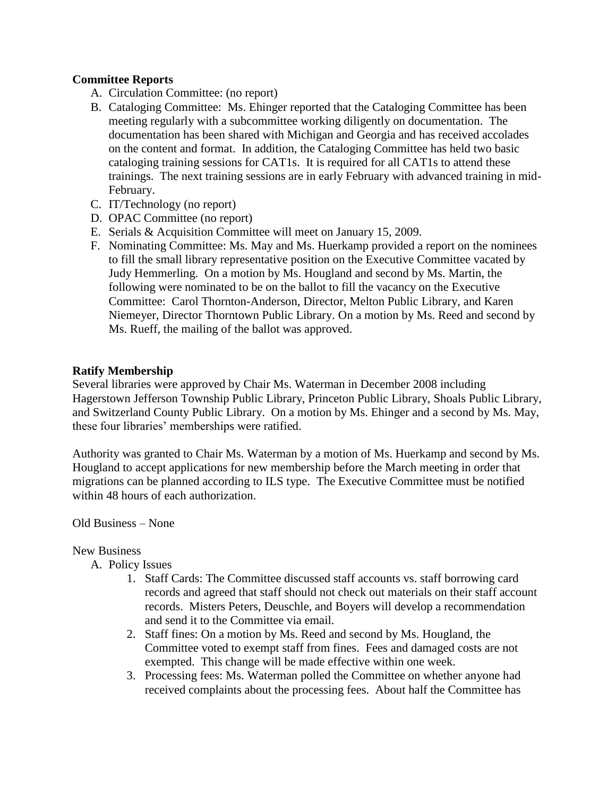## **Committee Reports**

- A. Circulation Committee: (no report)
- B. Cataloging Committee: Ms. Ehinger reported that the Cataloging Committee has been meeting regularly with a subcommittee working diligently on documentation. The documentation has been shared with Michigan and Georgia and has received accolades on the content and format. In addition, the Cataloging Committee has held two basic cataloging training sessions for CAT1s. It is required for all CAT1s to attend these trainings. The next training sessions are in early February with advanced training in mid-February.
- C. IT/Technology (no report)
- D. OPAC Committee (no report)
- E. Serials & Acquisition Committee will meet on January 15, 2009.
- F. Nominating Committee: Ms. May and Ms. Huerkamp provided a report on the nominees to fill the small library representative position on the Executive Committee vacated by Judy Hemmerling. On a motion by Ms. Hougland and second by Ms. Martin, the following were nominated to be on the ballot to fill the vacancy on the Executive Committee: Carol Thornton-Anderson, Director, Melton Public Library, and Karen Niemeyer, Director Thorntown Public Library. On a motion by Ms. Reed and second by Ms. Rueff, the mailing of the ballot was approved.

### **Ratify Membership**

Several libraries were approved by Chair Ms. Waterman in December 2008 including Hagerstown Jefferson Township Public Library, Princeton Public Library, Shoals Public Library, and Switzerland County Public Library. On a motion by Ms. Ehinger and a second by Ms. May, these four libraries' memberships were ratified.

Authority was granted to Chair Ms. Waterman by a motion of Ms. Huerkamp and second by Ms. Hougland to accept applications for new membership before the March meeting in order that migrations can be planned according to ILS type. The Executive Committee must be notified within 48 hours of each authorization.

### Old Business – None

#### New Business

- A. Policy Issues
	- 1. Staff Cards: The Committee discussed staff accounts vs. staff borrowing card records and agreed that staff should not check out materials on their staff account records. Misters Peters, Deuschle, and Boyers will develop a recommendation and send it to the Committee via email.
	- 2. Staff fines: On a motion by Ms. Reed and second by Ms. Hougland, the Committee voted to exempt staff from fines. Fees and damaged costs are not exempted. This change will be made effective within one week.
	- 3. Processing fees: Ms. Waterman polled the Committee on whether anyone had received complaints about the processing fees. About half the Committee has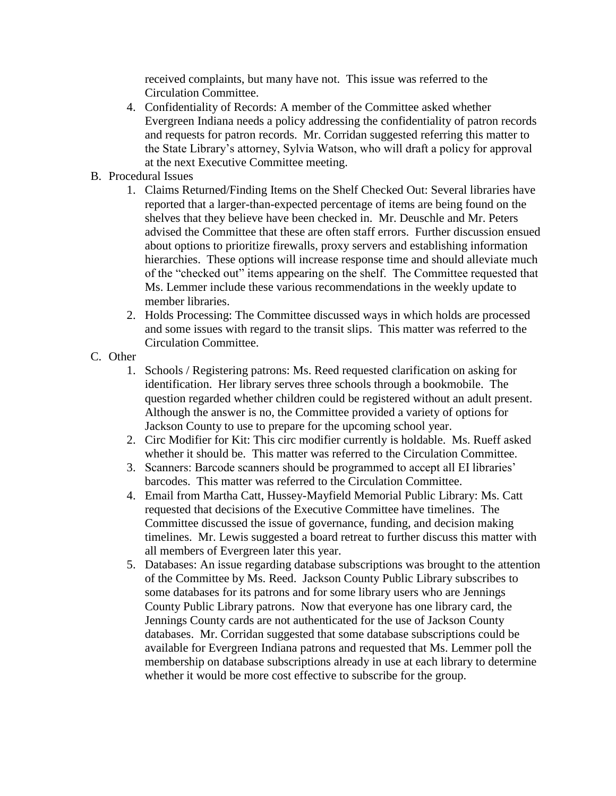received complaints, but many have not. This issue was referred to the Circulation Committee.

- 4. Confidentiality of Records: A member of the Committee asked whether Evergreen Indiana needs a policy addressing the confidentiality of patron records and requests for patron records. Mr. Corridan suggested referring this matter to the State Library's attorney, Sylvia Watson, who will draft a policy for approval at the next Executive Committee meeting.
- B. Procedural Issues
	- 1. Claims Returned/Finding Items on the Shelf Checked Out: Several libraries have reported that a larger-than-expected percentage of items are being found on the shelves that they believe have been checked in. Mr. Deuschle and Mr. Peters advised the Committee that these are often staff errors. Further discussion ensued about options to prioritize firewalls, proxy servers and establishing information hierarchies. These options will increase response time and should alleviate much of the "checked out" items appearing on the shelf. The Committee requested that Ms. Lemmer include these various recommendations in the weekly update to member libraries.
	- 2. Holds Processing: The Committee discussed ways in which holds are processed and some issues with regard to the transit slips. This matter was referred to the Circulation Committee.
- C. Other
	- 1. Schools / Registering patrons: Ms. Reed requested clarification on asking for identification. Her library serves three schools through a bookmobile. The question regarded whether children could be registered without an adult present. Although the answer is no, the Committee provided a variety of options for Jackson County to use to prepare for the upcoming school year.
	- 2. Circ Modifier for Kit: This circ modifier currently is holdable. Ms. Rueff asked whether it should be. This matter was referred to the Circulation Committee.
	- 3. Scanners: Barcode scanners should be programmed to accept all EI libraries' barcodes. This matter was referred to the Circulation Committee.
	- 4. Email from Martha Catt, Hussey-Mayfield Memorial Public Library: Ms. Catt requested that decisions of the Executive Committee have timelines. The Committee discussed the issue of governance, funding, and decision making timelines. Mr. Lewis suggested a board retreat to further discuss this matter with all members of Evergreen later this year.
	- 5. Databases: An issue regarding database subscriptions was brought to the attention of the Committee by Ms. Reed. Jackson County Public Library subscribes to some databases for its patrons and for some library users who are Jennings County Public Library patrons. Now that everyone has one library card, the Jennings County cards are not authenticated for the use of Jackson County databases. Mr. Corridan suggested that some database subscriptions could be available for Evergreen Indiana patrons and requested that Ms. Lemmer poll the membership on database subscriptions already in use at each library to determine whether it would be more cost effective to subscribe for the group.